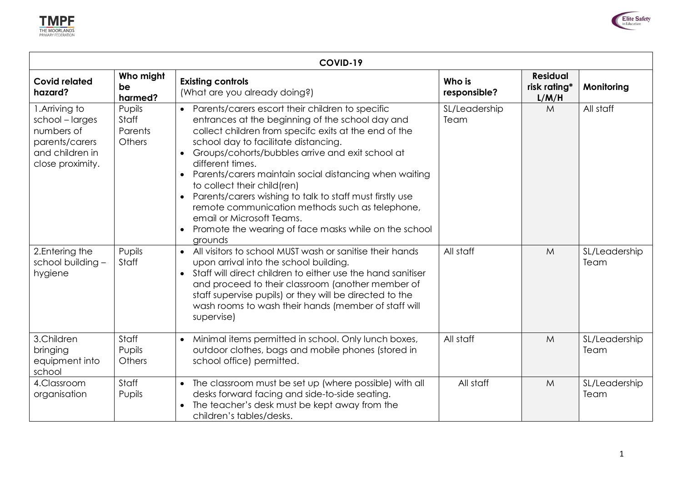



| COVID-19                                                                                                 |                                             |                                                                                                                                                                                                                                                                                                                                                                                                                                                                                                                                                                                                                                 |                        |                                          |                       |  |
|----------------------------------------------------------------------------------------------------------|---------------------------------------------|---------------------------------------------------------------------------------------------------------------------------------------------------------------------------------------------------------------------------------------------------------------------------------------------------------------------------------------------------------------------------------------------------------------------------------------------------------------------------------------------------------------------------------------------------------------------------------------------------------------------------------|------------------------|------------------------------------------|-----------------------|--|
| <b>Covid related</b><br>hazard?                                                                          | Who might<br>be<br>harmed?                  | <b>Existing controls</b><br>(What are you already doing?)                                                                                                                                                                                                                                                                                                                                                                                                                                                                                                                                                                       | Who is<br>responsible? | <b>Residual</b><br>risk rating*<br>L/M/H | Monitoring            |  |
| 1. Arriving to<br>school - larges<br>numbers of<br>parents/carers<br>and children in<br>close proximity. | Pupils<br>Staff<br>Parents<br><b>Others</b> | • Parents/carers escort their children to specific<br>entrances at the beginning of the school day and<br>collect children from specifc exits at the end of the<br>school day to facilitate distancing.<br>Groups/cohorts/bubbles arrive and exit school at<br>$\bullet$<br>different times.<br>Parents/carers maintain social distancing when waiting<br>$\bullet$<br>to collect their child(ren)<br>Parents/carers wishing to talk to staff must firstly use<br>$\bullet$<br>remote communication methods such as telephone,<br>email or Microsoft Teams.<br>Promote the wearing of face masks while on the school<br>grounds | SL/Leadership<br>Team  | M                                        | All staff             |  |
| 2. Entering the<br>school building -<br>hygiene                                                          | Pupils<br>Staff                             | All visitors to school MUST wash or sanitise their hands<br>$\bullet$<br>upon arrival into the school building.<br>Staff will direct children to either use the hand sanitiser<br>$\bullet$<br>and proceed to their classroom (another member of<br>staff supervise pupils) or they will be directed to the<br>wash rooms to wash their hands (member of staff will<br>supervise)                                                                                                                                                                                                                                               | All staff              | M                                        | SL/Leadership<br>Team |  |
| 3.Children<br>bringing<br>equipment into<br>school                                                       | Staff<br>Pupils<br>Others                   | Minimal items permitted in school. Only lunch boxes,<br>$\bullet$<br>outdoor clothes, bags and mobile phones (stored in<br>school office) permitted.                                                                                                                                                                                                                                                                                                                                                                                                                                                                            | All staff              | M                                        | SL/Leadership<br>Team |  |
| 4.Classroom<br>organisation                                                                              | Staff<br>Pupils                             | The classroom must be set up (where possible) with all<br>$\bullet$<br>desks forward facing and side-to-side seating.<br>The teacher's desk must be kept away from the<br>$\bullet$<br>children's tables/desks.                                                                                                                                                                                                                                                                                                                                                                                                                 | All staff              | M                                        | SL/Leadership<br>Team |  |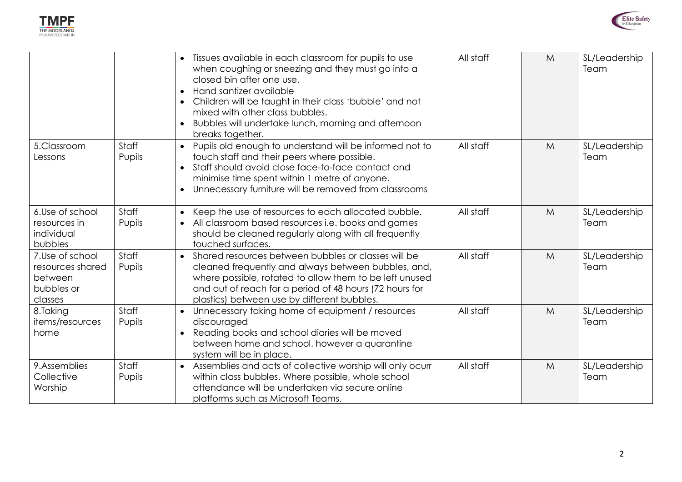



|                                                                         |                 | • Tissues available in each classroom for pupils to use<br>when coughing or sneezing and they must go into a<br>closed bin after one use.<br>Hand santizer available<br>$\bullet$<br>Children will be taught in their class 'bubble' and not<br>mixed with other class bubbles.<br>Bubbles will undertake lunch, morning and afternoon<br>breaks together. | All staff | M           | SL/Leadership<br>Team |
|-------------------------------------------------------------------------|-----------------|------------------------------------------------------------------------------------------------------------------------------------------------------------------------------------------------------------------------------------------------------------------------------------------------------------------------------------------------------------|-----------|-------------|-----------------------|
| 5.Classroom<br>Lessons                                                  | Staff<br>Pupils | Pupils old enough to understand will be informed not to<br>$\bullet$<br>touch staff and their peers where possible.<br>Staff should avoid close face-to-face contact and<br>minimise time spent within 1 metre of anyone.<br>Unnecessary furniture will be removed from classrooms                                                                         | All staff | M           | SL/Leadership<br>Team |
| 6.Use of school<br>resources in<br>individual<br>bubbles                | Staff<br>Pupils | Keep the use of resources to each allocated bubble.<br>$\bullet$<br>All classroom based resources i.e. books and games<br>$\bullet$<br>should be cleaned regularly along with all frequently<br>touched surfaces.                                                                                                                                          | All staff | M           | SL/Leadership<br>Team |
| 7.Use of school<br>resources shared<br>between<br>bubbles or<br>classes | Staff<br>Pupils | Shared resources between bubbles or classes will be<br>$\bullet$<br>cleaned frequently and always between bubbles, and,<br>where possible, rotated to allow them to be left unused<br>and out of reach for a period of 48 hours (72 hours for<br>plastics) between use by different bubbles.                                                               | All staff | $M_{\odot}$ | SL/Leadership<br>Team |
| 8.Taking<br>items/resources<br>home                                     | Staff<br>Pupils | Unnecessary taking home of equipment / resources<br>$\bullet$<br>discouraged<br>Reading books and school diaries will be moved<br>between home and school, however a quarantine<br>system will be in place.                                                                                                                                                | All staff | $M_{\odot}$ | SL/Leadership<br>Team |
| 9.Assemblies<br>Collective<br>Worship                                   | Staff<br>Pupils | • Assemblies and acts of collective worship will only ocurr<br>within class bubbles. Where possible, whole school<br>attendance will be undertaken via secure online<br>platforms such as Microsoft Teams.                                                                                                                                                 | All staff | M           | SL/Leadership<br>Team |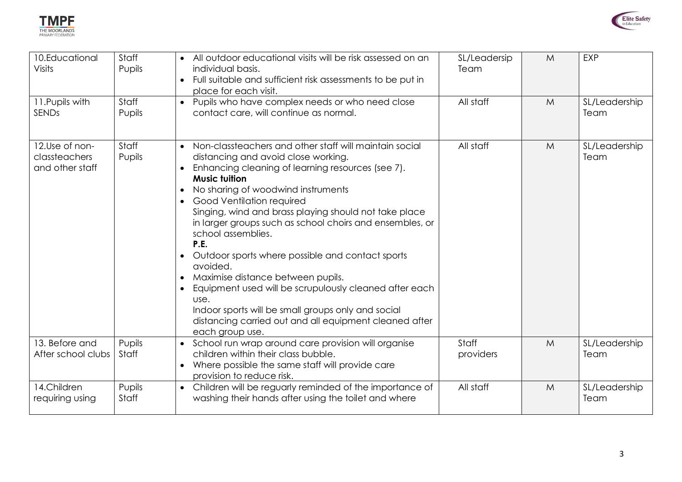



| 10.Educational<br><b>Visits</b>                    | Staff<br>Pupils | • All outdoor educational visits will be risk assessed on an<br>individual basis.<br>• Full suitable and sufficient risk assessments to be put in<br>place for each visit.                                                                                                                                                                                                                                                                                                                                                                                                                                                                                                                                   | SL/Leadersip<br>Team | M | EXP                   |
|----------------------------------------------------|-----------------|--------------------------------------------------------------------------------------------------------------------------------------------------------------------------------------------------------------------------------------------------------------------------------------------------------------------------------------------------------------------------------------------------------------------------------------------------------------------------------------------------------------------------------------------------------------------------------------------------------------------------------------------------------------------------------------------------------------|----------------------|---|-----------------------|
| 11. Pupils with<br><b>SENDs</b>                    | Staff<br>Pupils | • Pupils who have complex needs or who need close<br>contact care, will continue as normal.                                                                                                                                                                                                                                                                                                                                                                                                                                                                                                                                                                                                                  | All staff            | M | SL/Leadership<br>Team |
| 12.Use of non-<br>classteachers<br>and other staff | Staff<br>Pupils | • Non-classteachers and other staff will maintain social<br>distancing and avoid close working.<br>Enhancing cleaning of learning resources (see 7).<br><b>Music tuition</b><br>No sharing of woodwind instruments<br>Good Ventilation required<br>Singing, wind and brass playing should not take place<br>in larger groups such as school choirs and ensembles, or<br>school assemblies.<br>P.E.<br>Outdoor sports where possible and contact sports<br>avoided.<br>Maximise distance between pupils.<br>Equipment used will be scrupulously cleaned after each<br>use.<br>Indoor sports will be small groups only and social<br>distancing carried out and all equipment cleaned after<br>each group use. | All staff            | M | SL/Leadership<br>Team |
| 13. Before and<br>After school clubs               | Pupils<br>Staff | • School run wrap around care provision will organise<br>children within their class bubble.<br>• Where possible the same staff will provide care<br>provision to reduce risk.                                                                                                                                                                                                                                                                                                                                                                                                                                                                                                                               | Staff<br>providers   | M | SL/Leadership<br>Team |
| 14.Children<br>requiring using                     | Pupils<br>Staff | Children will be reguarly reminded of the importance of<br>$\bullet$<br>washing their hands after using the toilet and where                                                                                                                                                                                                                                                                                                                                                                                                                                                                                                                                                                                 | All staff            | M | SL/Leadership<br>Team |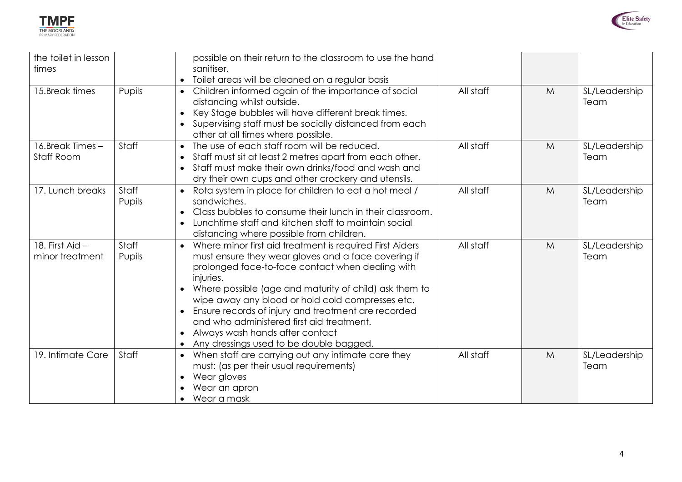



| the toilet in lesson<br>times      |                 | possible on their return to the classroom to use the hand<br>sanitiser.                                                                                                                                                                                                                                                                                                                                                                                                                       |           |   |                       |
|------------------------------------|-----------------|-----------------------------------------------------------------------------------------------------------------------------------------------------------------------------------------------------------------------------------------------------------------------------------------------------------------------------------------------------------------------------------------------------------------------------------------------------------------------------------------------|-----------|---|-----------------------|
|                                    |                 | Toilet areas will be cleaned on a regular basis                                                                                                                                                                                                                                                                                                                                                                                                                                               |           |   |                       |
| 15.Break times                     | Pupils          | Children informed again of the importance of social<br>distancing whilst outside.<br>Key Stage bubbles will have different break times.<br>Supervising staff must be socially distanced from each<br>other at all times where possible.                                                                                                                                                                                                                                                       | All staff | M | SL/Leadership<br>Team |
| 16.Break Times -<br>Staff Room     | Staff           | The use of each staff room will be reduced.<br>Staff must sit at least 2 metres apart from each other.<br>Staff must make their own drinks/food and wash and<br>dry their own cups and other crockery and utensils.                                                                                                                                                                                                                                                                           | All staff | M | SL/Leadership<br>Team |
| 17. Lunch breaks                   | Staff<br>Pupils | Rota system in place for children to eat a hot meal /<br>sandwiches.<br>Class bubbles to consume their lunch in their classroom.<br>Lunchtime staff and kitchen staff to maintain social<br>distancing where possible from children.                                                                                                                                                                                                                                                          | All staff | M | SL/Leadership<br>Team |
| 18. First Aid -<br>minor treatment | Staff<br>Pupils | Where minor first aid treatment is required First Aiders<br>$\bullet$<br>must ensure they wear gloves and a face covering if<br>prolonged face-to-face contact when dealing with<br>injuries.<br>Where possible (age and maturity of child) ask them to<br>wipe away any blood or hold cold compresses etc.<br>Ensure records of injury and treatment are recorded<br>and who administered first aid treatment.<br>Always wash hands after contact<br>Any dressings used to be double bagged. | All staff | M | SL/Leadership<br>Team |
| 19. Intimate Care                  | Staff           | When staff are carrying out any intimate care they<br>$\bullet$<br>must: (as per their usual requirements)<br>Wear gloves<br>Wear an apron<br>Wear a mask                                                                                                                                                                                                                                                                                                                                     | All staff | M | SL/Leadership<br>Team |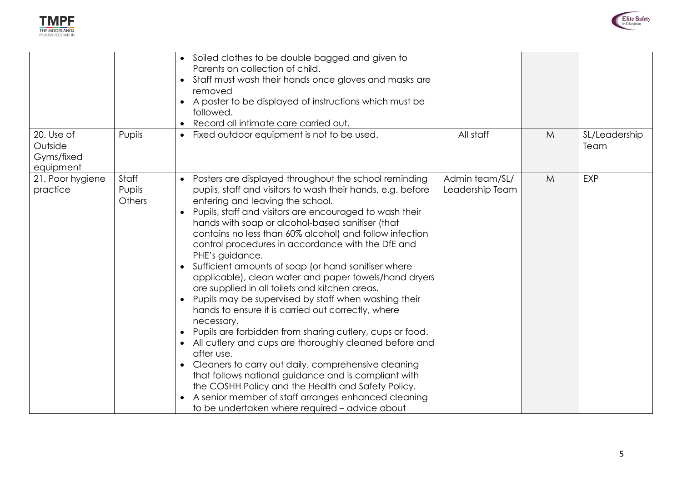



|                                                  |                           | • Soiled clothes to be double bagged and given to<br>Parents on collection of child.<br>Staff must wash their hands once gloves and masks are<br>$\bullet$<br>removed<br>A poster to be displayed of instructions which must be<br>followed.<br>Record all intimate care carried out.                                                                                                                                                                                                                                                                                                                                                                                                                                                                                                                                                                                                                                                                                                                                                                                                                                                                |                                   |             |                       |
|--------------------------------------------------|---------------------------|------------------------------------------------------------------------------------------------------------------------------------------------------------------------------------------------------------------------------------------------------------------------------------------------------------------------------------------------------------------------------------------------------------------------------------------------------------------------------------------------------------------------------------------------------------------------------------------------------------------------------------------------------------------------------------------------------------------------------------------------------------------------------------------------------------------------------------------------------------------------------------------------------------------------------------------------------------------------------------------------------------------------------------------------------------------------------------------------------------------------------------------------------|-----------------------------------|-------------|-----------------------|
| 20. Use of<br>Outside<br>Gyms/fixed<br>equipment | Pupils                    | Fixed outdoor equipment is not to be used.                                                                                                                                                                                                                                                                                                                                                                                                                                                                                                                                                                                                                                                                                                                                                                                                                                                                                                                                                                                                                                                                                                           | All staff                         | $M_{\odot}$ | SL/Leadership<br>Team |
| 21. Poor hygiene<br>practice                     | Staff<br>Pupils<br>Others | Posters are displayed throughout the school reminding<br>$\bullet$<br>pupils, staff and visitors to wash their hands, e.g. before<br>entering and leaving the school.<br>Pupils, staff and visitors are encouraged to wash their<br>$\bullet$<br>hands with soap or alcohol-based sanitiser (that<br>contains no less than 60% alcohol) and follow infection<br>control procedures in accordance with the DfE and<br>PHE's guidance.<br>Sufficient amounts of soap (or hand sanitiser where<br>applicable), clean water and paper towels/hand dryers<br>are supplied in all toilets and kitchen areas.<br>Pupils may be supervised by staff when washing their<br>hands to ensure it is carried out correctly, where<br>necessary.<br>Pupils are forbidden from sharing cutlery, cups or food.<br>All cutlery and cups are thoroughly cleaned before and<br>after use.<br>Cleaners to carry out daily, comprehensive cleaning<br>that follows national guidance and is compliant with<br>the COSHH Policy and the Health and Safety Policy.<br>A senior member of staff arranges enhanced cleaning<br>to be undertaken where required - advice about | Admin team/SL/<br>Leadership Team | M           | <b>EXP</b>            |